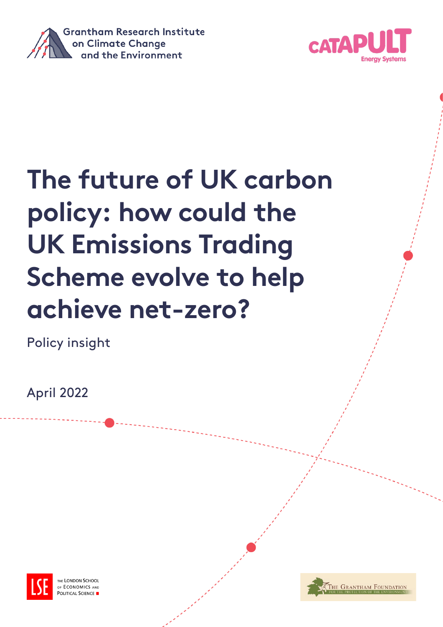



# **The future of UK carbon policy: how could the UK Emissions Trading Scheme evolve to help achieve net-zero?**

Policy insight

April 2022



**LONDON SCHOOL** ECONOMICS AND **OLITICAL SCIENCE** 

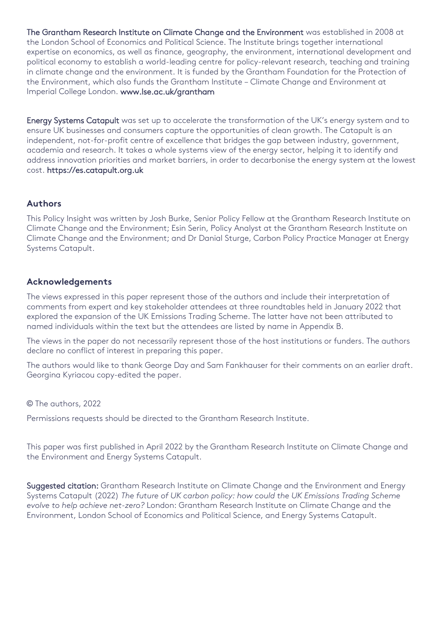The Grantham Research Institute on Climate Change and the Environment was established in 2008 at the London School of Economics and Political Science. The Institute brings together international expertise on economics, as well as finance, geography, the environment, international development and political economy to establish a world-leading centre for policy-relevant research, teaching and training in climate change and the environment. It is funded by the Grantham Foundation for the Protection of the Environment, which also funds the Grantham Institute – Climate Change and Environment at Imperial College London. [www.lse.ac.uk/grantham](http://www.lse.ac.uk/grantham) 

Energy Systems Catapult was set up to accelerate the transformation of the UK's energy system and to ensure UK businesses and consumers capture the opportunities of clean growth. The Catapult is an independent, not-for-profit centre of excellence that bridges the gap between industry, government, academia and research. It takes a whole systems view of the energy sector, helping it to identify and address innovation priorities and market barriers, in order to decarbonise the energy system at the lowest cost. [https://es.catapult.org.uk](https://es.catapult.org.uk/)

# **Authors**

This Policy Insight was written by Josh Burke, Senior Policy Fellow at the Grantham Research Institute on Climate Change and the Environment; Esin Serin, Policy Analyst at the Grantham Research Institute on Climate Change and the Environment; and Dr Danial Sturge, Carbon Policy Practice Manager at Energy Systems Catapult.

### **Acknowledgements**

The views expressed in this paper represent those of the authors and include their interpretation of comments from expert and key stakeholder attendees at three roundtables held in January 2022 that explored the expansion of the UK Emissions Trading Scheme. The latter have not been attributed to named individuals within the text but the attendees are listed by name in Appendix B.

The views in the paper do not necessarily represent those of the host institutions or funders. The authors declare no conflict of interest in preparing this paper.

The authors would like to thank George Day and Sam Fankhauser for their comments on an earlier draft. Georgina Kyriacou copy-edited the paper.

© The authors, 2022

Permissions requests should be directed to the Grantham Research Institute.

This paper was first published in April 2022 by the Grantham Research Institute on Climate Change and the Environment and Energy Systems Catapult.

Suggested citation: Grantham Research Institute on Climate Change and the Environment and Energy Systems Catapult (2022) *The future of UK carbon policy: how could the UK Emissions Trading Scheme evolve to help achieve net-zero?* London: Grantham Research Institute on Climate Change and the Environment, London School of Economics and Political Science, and Energy Systems Catapult.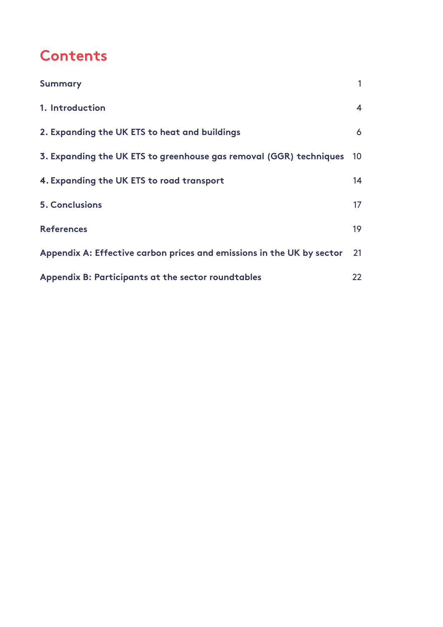# **Contents**

| <b>Summary</b>                                                        |                   |
|-----------------------------------------------------------------------|-------------------|
| 1. Introduction                                                       | 4                 |
| 2. Expanding the UK ETS to heat and buildings                         | 6                 |
| 3. Expanding the UK ETS to greenhouse gas removal (GGR) techniques    | 10 <sup>°</sup>   |
| 4. Expanding the UK ETS to road transport                             | 14                |
| <b>5. Conclusions</b>                                                 | 17                |
| <b>References</b>                                                     | 19                |
| Appendix A: Effective carbon prices and emissions in the UK by sector | 21                |
| Appendix B: Participants at the sector roundtables                    | $22 \overline{)}$ |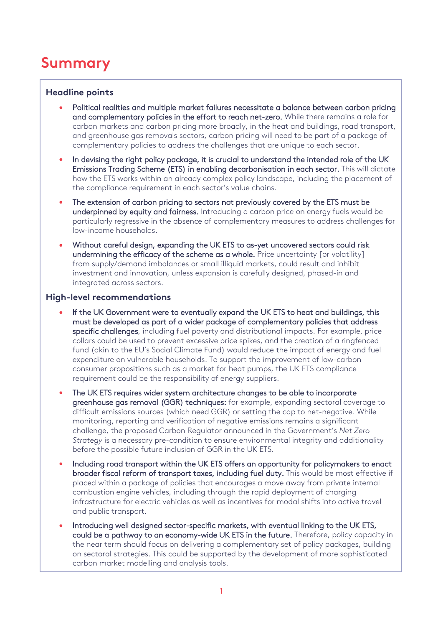# **Summary**

#### <span id="page-3-0"></span>**Headline points**

- Political realities and multiple market failures necessitate a balance between carbon pricing and complementary policies in the effort to reach net-zero. While there remains a role for carbon markets and carbon pricing more broadly, in the heat and buildings, road transport, and greenhouse gas removals sectors, carbon pricing will need to be part of a package of complementary policies to address the challenges that are unique to each sector.
- In devising the right policy package, it is crucial to understand the intended role of the UK Emissions Trading Scheme (ETS) in enabling decarbonisation in each sector. This will dictate how the ETS works within an already complex policy landscape, including the placement of the compliance requirement in each sector's value chains.
- The extension of carbon pricing to sectors not previously covered by the ETS must be underpinned by equity and fairness. Introducing a carbon price on energy fuels would be particularly regressive in the absence of complementary measures to address challenges for low-income households.
- Without careful design, expanding the UK ETS to as-yet uncovered sectors could risk undermining the efficacy of the scheme as a whole. Price uncertainty [or volatility] from supply/demand imbalances or small illiquid markets, could result and inhibit investment and innovation, unless expansion is carefully designed, phased-in and integrated across sectors.

#### **High-level recommendations**

- If the UK Government were to eventually expand the UK ETS to heat and buildings, this must be developed as part of a wider package of complementary policies that address specific challenges, including fuel poverty and distributional impacts. For example, price collars could be used to prevent excessive price spikes, and the creation of a ringfenced fund (akin to the EU's Social Climate Fund) would reduce the impact of energy and fuel expenditure on vulnerable households. To support the improvement of low-carbon consumer propositions such as a market for heat pumps, the UK ETS compliance requirement could be the responsibility of energy suppliers.
- The UK ETS requires wider system architecture changes to be able to incorporate greenhouse gas removal (GGR) techniques: for example, expanding sectoral coverage to difficult emissions sources (which need GGR) or setting the cap to net-negative. While monitoring, reporting and verification of negative emissions remains a significant challenge, the proposed Carbon Regulator announced in the Government's *Net Zero Strategy* is a necessary pre-condition to ensure environmental integrity and additionality before the possible future inclusion of GGR in the UK ETS.
- Including road transport within the UK ETS offers an opportunity for policymakers to enact broader fiscal reform of transport taxes, including fuel duty. This would be most effective if placed within a package of policies that encourages a move away from private internal combustion engine vehicles, including through the rapid deployment of charging infrastructure for electric vehicles as well as incentives for modal shifts into active travel and public transport.
- Introducing well designed sector-specific markets, with eventual linking to the UK ETS, could be a pathway to an economy-wide UK ETS in the future. Therefore, policy capacity in the near term should focus on delivering a complementary set of policy packages, building on sectoral strategies. This could be supported by the development of more sophisticated carbon market modelling and analysis tools.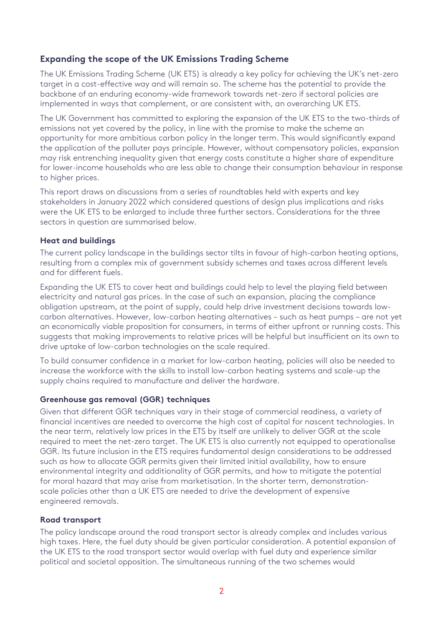# **Expanding the scope of the UK Emissions Trading Scheme**

The UK Emissions Trading Scheme (UK ETS) is already a key policy for achieving the UK's net-zero target in a cost-effective way and will remain so. The scheme has the potential to provide the backbone of an enduring economy-wide framework towards net-zero if sectoral policies are implemented in ways that complement, or are consistent with, an overarching UK ETS.

The UK Government has committed to exploring the expansion of the UK ETS to the two-thirds of emissions not yet covered by the policy, in line with the promise to make the scheme an opportunity for more ambitious carbon policy in the longer term. This would significantly expand the application of the polluter pays principle. However, without compensatory policies, expansion may risk entrenching inequality given that energy costs constitute a higher share of expenditure for lower-income households who are less able to change their consumption behaviour in response to higher prices.

This report draws on discussions from a series of roundtables held with experts and key stakeholders in January 2022 which considered questions of design plus implications and risks were the UK ETS to be enlarged to include three further sectors. Considerations for the three sectors in question are summarised below.

#### **Heat and buildings**

The current policy landscape in the buildings sector tilts in favour of high-carbon heating options, resulting from a complex mix of government subsidy schemes and taxes across different levels and for different fuels.

Expanding the UK ETS to cover heat and buildings could help to level the playing field between electricity and natural gas prices. In the case of such an expansion, placing the compliance obligation upstream, at the point of supply, could help drive investment decisions towards lowcarbon alternatives. However, low-carbon heating alternatives – such as heat pumps – are not yet an economically viable proposition for consumers, in terms of either upfront or running costs. This suggests that making improvements to relative prices will be helpful but insufficient on its own to drive uptake of low-carbon technologies on the scale required.

To build consumer confidence in a market for low-carbon heating, policies will also be needed to increase the workforce with the skills to install low-carbon heating systems and scale-up the supply chains required to manufacture and deliver the hardware.

#### **Greenhouse gas removal (GGR) techniques**

Given that different GGR techniques vary in their stage of commercial readiness, a variety of financial incentives are needed to overcome the high cost of capital for nascent technologies. In the near term, relatively low prices in the ETS by itself are unlikely to deliver GGR at the scale required to meet the net-zero target. The UK ETS is also currently not equipped to operationalise GGR. Its future inclusion in the ETS requires fundamental design considerations to be addressed such as how to allocate GGR permits given their limited initial availability, how to ensure environmental integrity and additionality of GGR permits, and how to mitigate the potential for moral hazard that may arise from marketisation. In the shorter term, demonstrationscale policies other than a UK ETS are needed to drive the development of expensive engineered removals.

#### **Road transport**

The policy landscape around the road transport sector is already complex and includes various high taxes. Here, the fuel duty should be given particular consideration. A potential expansion of the UK ETS to the road transport sector would overlap with fuel duty and experience similar political and societal opposition. The simultaneous running of the two schemes would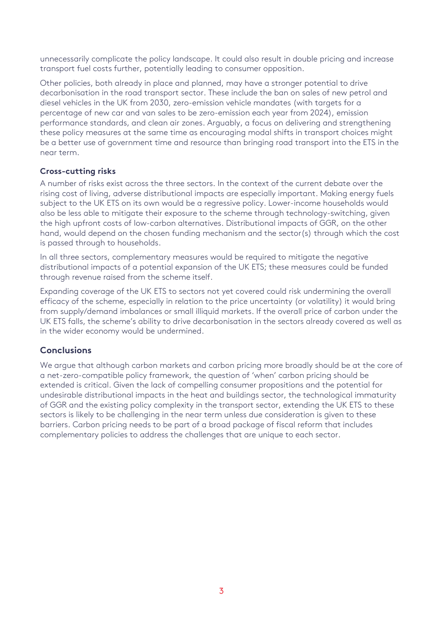unnecessarily complicate the policy landscape. It could also result in double pricing and increase transport fuel costs further, potentially leading to consumer opposition.

Other policies, both already in place and planned, may have a stronger potential to drive decarbonisation in the road transport sector. These include the ban on sales of new petrol and diesel vehicles in the UK from 2030, zero-emission vehicle mandates (with targets for a percentage of new car and van sales to be zero-emission each year from 2024), emission performance standards, and clean air zones. Arguably, a focus on delivering and strengthening these policy measures at the same time as encouraging modal shifts in transport choices might be a better use of government time and resource than bringing road transport into the ETS in the near term.

### **Cross-cutting risks**

A number of risks exist across the three sectors. In the context of the current debate over the rising cost of living, adverse distributional impacts are especially important. Making energy fuels subject to the UK ETS on its own would be a regressive policy. Lower-income households would also be less able to mitigate their exposure to the scheme through technology-switching, given the high upfront costs of low-carbon alternatives. Distributional impacts of GGR, on the other hand, would depend on the chosen funding mechanism and the sector(s) through which the cost is passed through to households.

In all three sectors, complementary measures would be required to mitigate the negative distributional impacts of a potential expansion of the UK ETS; these measures could be funded through revenue raised from the scheme itself.

Expanding coverage of the UK ETS to sectors not yet covered could risk undermining the overall efficacy of the scheme, especially in relation to the price uncertainty (or volatility) it would bring from supply/demand imbalances or small illiquid markets. If the overall price of carbon under the UK ETS falls, the scheme's ability to drive decarbonisation in the sectors already covered as well as in the wider economy would be undermined.

### **Conclusions**

We argue that although carbon markets and carbon pricing more broadly should be at the core of a net-zero-compatible policy framework, the question of 'when' carbon pricing should be extended is critical. Given the lack of compelling consumer propositions and the potential for undesirable distributional impacts in the heat and buildings sector, the technological immaturity of GGR and the existing policy complexity in the transport sector, extending the UK ETS to these sectors is likely to be challenging in the near term unless due consideration is given to these barriers. Carbon pricing needs to be part of a broad package of fiscal reform that includes complementary policies to address the challenges that are unique to each sector.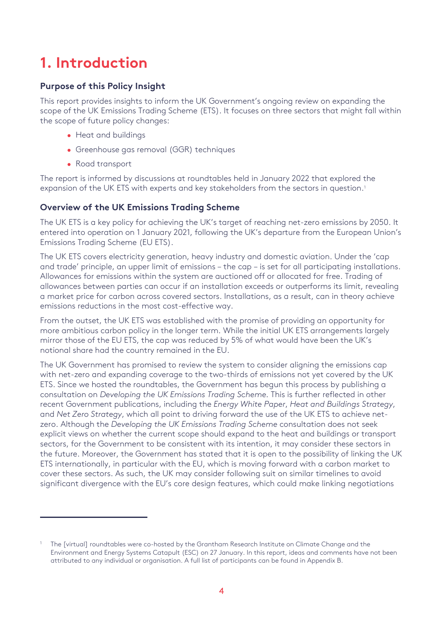# <span id="page-6-0"></span>**1. Introduction**

# **Purpose of this Policy Insight**

This report provides insights to inform the UK Government's ongoing review on expanding the scope of the UK Emissions Trading Scheme (ETS). It focuses on three sectors that might fall within the scope of future policy changes:

- Heat and buildings
- Greenhouse gas removal (GGR) techniques
- Road transport

The report is informed by discussions at roundtables held in January 2022 that explored the expansion of the UK ETS with experts and key stakeholders from the sectors in question.<sup>1</sup>

# **Overview of the UK Emissions Trading Scheme**

The UK ETS is a key policy for achieving the UK's target of reaching net-zero emissions by 2050. It entered into operation on 1 January 2021, following the UK's departure from the European Union's Emissions Trading Scheme (EU ETS).

The UK ETS covers electricity generation, heavy industry and domestic aviation. Under the 'cap and trade' principle, an upper limit of emissions – the cap – is set for all participating installations. Allowances for emissions within the system are auctioned off or allocated for free. Trading of allowances between parties can occur if an installation exceeds or outperforms its limit, revealing a market price for carbon across covered sectors. Installations, as a result, can in theory achieve emissions reductions in the most cost-effective way.

From the outset, the UK ETS was established with the promise of providing an opportunity for more ambitious carbon policy in the longer term. While the initial UK ETS arrangements largely mirror those of the EU ETS, the cap was reduced by 5% of what would have been the UK's notional share had the country remained in the EU.

The UK Government has promised to review the system to consider aligning the emissions cap with net-zero and expanding coverage to the two-thirds of emissions not yet covered by the UK ETS. Since we hosted the roundtables, the Government has begun this process by publishing a consultation on *Developing the UK Emissions Trading Scheme.* This is further reflected in other recent Government publications, including the *Energy White Paper*, *Heat and Buildings Strategy*, and *Net Zero Strategy*, which all point to driving forward the use of the UK ETS to achieve netzero. Although the *Developing the UK Emissions Trading Scheme* consultation does not seek explicit views on whether the current scope should expand to the heat and buildings or transport sectors, for the Government to be consistent with its intention, it may consider these sectors in the future. Moreover, the Government has stated that it is open to the possibility of linking the UK ETS internationally, in particular with the EU, which is moving forward with a carbon market to cover these sectors. As such, the UK may consider following suit on similar timelines to avoid significant divergence with the EU's core design features, which could make linking negotiations

<span id="page-6-1"></span><sup>1</sup> The [virtual] roundtables were co-hosted by the Grantham Research Institute on Climate Change and the Environment and Energy Systems Catapult (ESC) on 27 January. In this report, ideas and comments have not been attributed to any individual or organisation. A full list of participants can be found in Appendix B.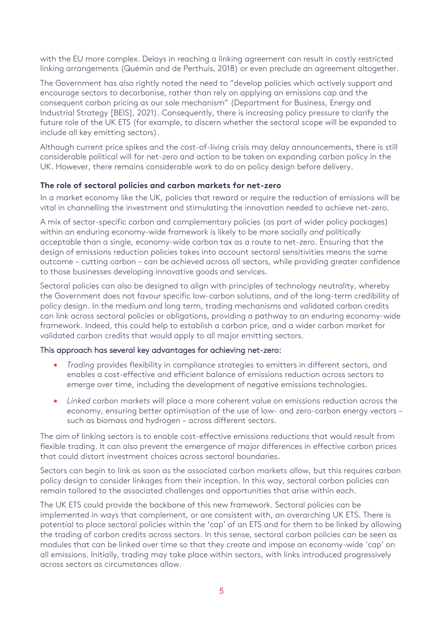with the EU more complex. Delays in reaching a linking agreement can result in costly restricted linking arrangements (Quémin and de Perthuis, 2018) or even preclude an agreement altogether.

The Government has also rightly noted the need to "develop policies which actively support and encourage sectors to decarbonise, rather than rely on applying an emissions cap and the consequent carbon pricing as our sole mechanism" (Department for Business, Energy and Industrial Strategy [BEIS], 2021). Consequently, there is increasing policy pressure to clarify the future role of the UK ETS (for example, to discern whether the sectoral scope will be expanded to include all key emitting sectors).

Although current price spikes and the cost-of-living crisis may delay announcements, there is still considerable political will for net-zero and action to be taken on expanding carbon policy in the UK. However, there remains considerable work to do on policy design before delivery.

#### **The role of sectoral policies and carbon markets for net-zero**

In a market economy like the UK, policies that reward or require the reduction of emissions will be vital in channelling the investment and stimulating the innovation needed to achieve net-zero.

A mix of sector-specific carbon and complementary policies (as part of wider policy packages) within an enduring economy-wide framework is likely to be more socially *and* politically acceptable than a single, economy-wide carbon tax as a route to net-zero. Ensuring that the design of emissions reduction policies takes into account sectoral sensitivities means the same outcome – cutting carbon – can be achieved across all sectors, while providing greater confidence to those businesses developing innovative goods and services.

Sectoral policies can also be designed to align with principles of technology neutrality, whereby the Government does not favour specific low-carbon solutions, and of the long-term credibility of policy design. In the medium and long term, trading mechanisms and validated carbon credits can link across sectoral policies or obligations, providing a pathway to an enduring economy-wide framework. Indeed, this could help to establish a carbon price, and a wider carbon market for validated carbon credits that would apply to all major emitting sectors.

#### This approach has several key advantages for achieving net-zero:

- *Trading* provides flexibility in compliance strategies to emitters in different sectors, and enables a cost-effective and efficient balance of emissions reduction across sectors to emerge over time, including the development of negative emissions technologies.
- *Linked carbon markets* will place a more coherent value on emissions reduction across the economy, ensuring better optimisation of the use of low- and zero-carbon energy vectors – such as biomass and hydrogen – across different sectors.

The aim of linking sectors is to enable cost-effective emissions reductions that would result from flexible trading. It can also prevent the emergence of major differences in effective carbon prices that could distort investment choices across sectoral boundaries.

Sectors can begin to link as soon as the associated carbon markets allow, but this requires carbon policy design to consider linkages from their inception. In this way, sectoral carbon policies can remain tailored to the associated challenges and opportunities that arise within each.

The UK ETS could provide the backbone of this new framework. Sectoral policies can be implemented in ways that complement, or are consistent with, an overarching UK ETS. There is potential to place sectoral policies within the 'cap' of an ETS and for them to be linked by allowing the trading of carbon credits across sectors. In this sense, sectoral carbon policies can be seen as modules that can be linked over time so that they create and impose an economy-wide 'cap' on all emissions. Initially, trading may take place within sectors, with links introduced progressively across sectors as circumstances allow.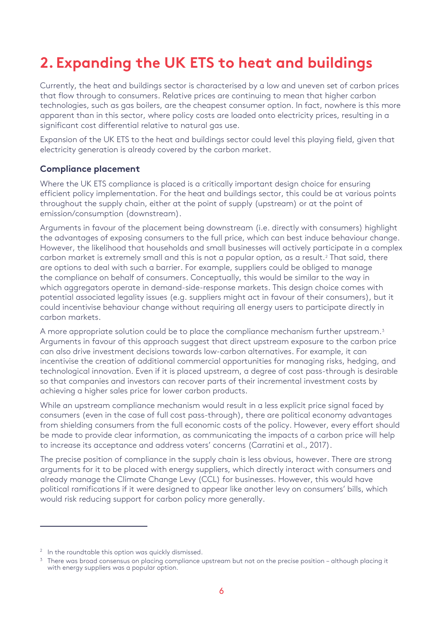# <span id="page-8-0"></span>**2. Expanding the UK ETS to heat and buildings**

Currently, the heat and buildings sector is characterised by a low and uneven set of carbon prices that flow through to consumers. Relative prices are continuing to mean that higher carbon technologies, such as gas boilers, are the cheapest consumer option. In fact, nowhere is this more apparent than in this sector, where policy costs are loaded onto electricity prices, resulting in a significant cost differential relative to natural gas use.

Expansion of the UK ETS to the heat and buildings sector could level this playing field, given that electricity generation is already covered by the carbon market.

#### **Compliance placement**

Where the UK ETS compliance is placed is a critically important design choice for ensuring efficient policy implementation. For the heat and buildings sector, this could be at various points throughout the supply chain, either at the point of supply (upstream) or at the point of emission/consumption (downstream).

Arguments in favour of the placement being downstream (i.e. directly with consumers) highlight the advantages of exposing consumers to the full price, which can best induce behaviour change. However, the likelihood that households and small businesses will actively participate in a complex carbon market is extremely small and this is not a popular option, as a result.[2](#page-8-1) That said, there are options to deal with such a barrier. For example, suppliers could be obliged to manage the compliance on behalf of consumers. Conceptually, this would be similar to the way in which aggregators operate in demand-side-response markets. This design choice comes with potential associated legality issues (e.g. suppliers might act in favour of their consumers), but it could incentivise behaviour change without requiring all energy users to participate directly in carbon markets.

A more appropriate solution could be to place the compliance mechanism further upstream.<sup>[3](#page-8-2)</sup> Arguments in favour of this approach suggest that direct upstream exposure to the carbon price can also drive investment decisions towards low-carbon alternatives. For example, it can incentivise the creation of additional commercial opportunities for managing risks, hedging, and technological innovation. Even if it is placed upstream, a degree of cost pass-through is desirable so that companies and investors can recover parts of their incremental investment costs by achieving a higher sales price for lower carbon products.

While an upstream compliance mechanism would result in a less explicit price signal faced by consumers (even in the case of full cost pass-through), there are political economy advantages from shielding consumers from the full economic costs of the policy. However, every effort should be made to provide clear information, as communicating the impacts of a carbon price will help to increase its acceptance and address voters' concerns (Carratini et al., 2017).

The precise position of compliance in the supply chain is less obvious, however. There are strong arguments for it to be placed with energy suppliers, which directly interact with consumers and already manage the Climate Change Levy (CCL) for businesses. However, this would have political ramifications if it were designed to appear like another levy on consumers' bills, which would risk reducing support for carbon policy more generally.

<span id="page-8-2"></span><span id="page-8-1"></span><sup>&</sup>lt;sup>2</sup> In the roundtable this option was quickly dismissed.<br><sup>3</sup> There was broad consensus on placing compliance upstream but not on the precise position – although placing it with energy suppliers was a popular option.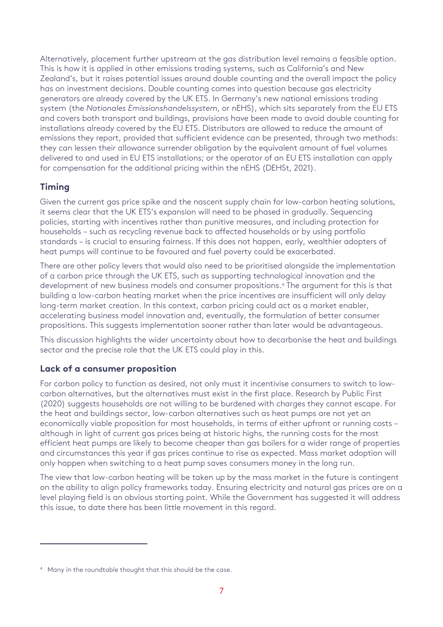Alternatively, placement further upstream at the gas distribution level remains a feasible option. This is how it is applied in other emissions trading systems, such as California's and New Zealand's, but it raises potential issues around double counting and the overall impact the policy has on investment decisions. Double counting comes into question because gas electricity generators are already covered by the UK ETS. In Germany's new national emissions trading system (the *Nationales Emissionshandelssystem*, or nEHS), which sits separately from the EU ETS and covers both transport and buildings, provisions have been made to avoid double counting for installations already covered by the EU ETS. Distributors are allowed to reduce the amount of emissions they report, provided that sufficient evidence can be presented, through two methods: they can lessen their allowance surrender obligation by the equivalent amount of fuel volumes delivered to and used in EU ETS installations; or the operator of an EU ETS installation can apply for compensation for the additional pricing within the nEHS (DEHSt, 2021).

# **Timing**

Given the current gas price spike and the nascent supply chain for low-carbon heating solutions, it seems clear that the UK ETS's expansion will need to be phased in gradually. Sequencing policies, starting with incentives rather than punitive measures, and including protection for households – such as recycling revenue back to affected households or by using portfolio standards – is crucial to ensuring fairness. If this does not happen, early, wealthier adopters of heat pumps will continue to be favoured and fuel poverty could be exacerbated.

There are other policy levers that would also need to be prioritised alongside the implementation of a carbon price through the UK ETS, such as supporting technological innovation and the development of new business models and consumer propositions.[4](#page-9-0) The argument for this is that building a low-carbon heating market when the price incentives are insufficient will only delay long-term market creation. In this context, carbon pricing could act as a market enabler, accelerating business model innovation and, eventually, the formulation of better consumer propositions. This suggests implementation sooner rather than later would be advantageous.

This discussion highlights the wider uncertainty about how to decarbonise the heat and buildings sector and the precise role that the UK ETS could play in this.

# **Lack of a consumer proposition**

For carbon policy to function as desired, not only must it incentivise consumers to switch to lowcarbon alternatives, but the alternatives must exist in the first place. Research by Public First (2020) suggests households are not willing to be burdened with charges they cannot escape. For the heat and buildings sector, low-carbon alternatives such as heat pumps are not yet an economically viable proposition for most households, in terms of either upfront or running costs – although in light of current gas prices being at historic highs, the running costs for the most efficient heat pumps are likely to become cheaper than gas boilers for a wider range of properties and circumstances this year if gas prices continue to rise as expected. Mass market adoption will only happen when switching to a heat pump saves consumers money in the long run.

The view that low-carbon heating will be taken up by the mass market in the future is contingent on the ability to align policy frameworks today. Ensuring electricity and natural gas prices are on a level playing field is an obvious starting point. While the Government has suggested it will address this issue, to date there has been little movement in this regard.

<span id="page-9-0"></span><sup>&</sup>lt;sup>4</sup> Many in the roundtable thought that this should be the case.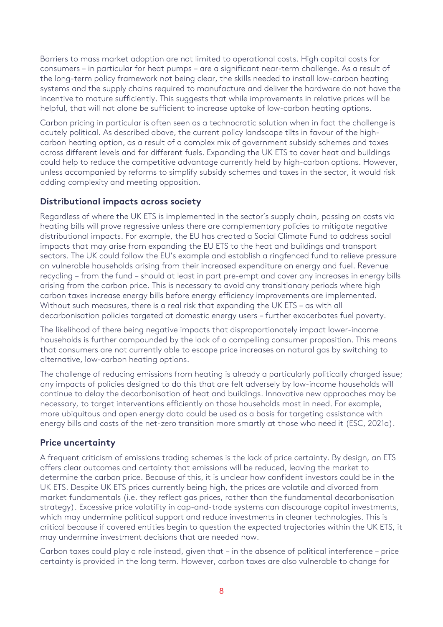Barriers to mass market adoption are not limited to operational costs. High capital costs for consumers – in particular for heat pumps – are a significant near-term challenge. As a result of the long-term policy framework not being clear, the skills needed to install low-carbon heating systems and the supply chains required to manufacture and deliver the hardware do not have the incentive to mature sufficiently. This suggests that while improvements in relative prices will be helpful, that will not alone be sufficient to increase uptake of low-carbon heating options.

Carbon pricing in particular is often seen as a technocratic solution when in fact the challenge is acutely political. As described above, the current policy landscape tilts in favour of the highcarbon heating option, as a result of a complex mix of government subsidy schemes and taxes across different levels and for different fuels. Expanding the UK ETS to cover heat and buildings could help to reduce the competitive advantage currently held by high-carbon options. However, unless accompanied by reforms to simplify subsidy schemes and taxes in the sector, it would risk adding complexity and meeting opposition.

### **Distributional impacts across society**

Regardless of where the UK ETS is implemented in the sector's supply chain, passing on costs via heating bills will prove regressive unless there are complementary policies to mitigate negative distributional impacts. For example, the EU has created a Social Climate Fund to address social impacts that may arise from expanding the EU ETS to the heat and buildings and transport sectors. The UK could follow the EU's example and establish a ringfenced fund to relieve pressure on vulnerable households arising from their increased expenditure on energy and fuel. Revenue recycling – from the fund – should at least in part pre-empt and cover any increases in energy bills arising from the carbon price. This is necessary to avoid any transitionary periods where high carbon taxes increase energy bills before energy efficiency improvements are implemented. Without such measures, there is a real risk that expanding the UK ETS – as with all decarbonisation policies targeted at domestic energy users – further exacerbates fuel poverty.

The likelihood of there being negative impacts that disproportionately impact lower-income households is further compounded by the lack of a compelling consumer proposition. This means that consumers are not currently able to escape price increases on natural gas by switching to alternative, low-carbon heating options.

The challenge of reducing emissions from heating is already a particularly politically charged issue; any impacts of policies designed to do this that are felt adversely by low-income households will continue to delay the decarbonisation of heat and buildings. Innovative new approaches may be necessary, to target interventions efficiently on those households most in need. For example, more ubiquitous and open energy data could be used as a basis for targeting assistance with energy bills and costs of the net-zero transition more smartly at those who need it (ESC, 2021a).

# **Price uncertainty**

A frequent criticism of emissions trading schemes is the lack of price certainty. By design, an ETS offers clear outcomes and certainty that emissions will be reduced, leaving the market to determine the carbon price. Because of this, it is unclear how confident investors could be in the UK ETS. Despite UK ETS prices currently being high, the prices are volatile and divorced from market fundamentals (i.e. they reflect gas prices, rather than the fundamental decarbonisation strategy). Excessive price volatility in cap-and-trade systems can discourage capital investments, which may undermine political support and reduce investments in cleaner technologies. This is critical because if covered entities begin to question the expected trajectories within the UK ETS, it may undermine investment decisions that are needed now.

Carbon taxes could play a role instead, given that – in the absence of political interference – price certainty is provided in the long term. However, carbon taxes are also vulnerable to change for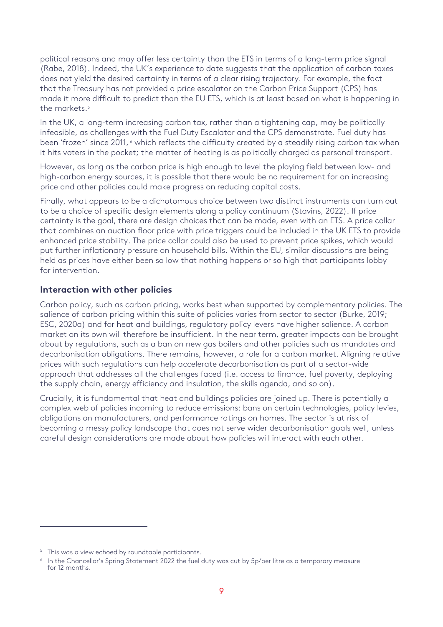political reasons and may offer less certainty than the ETS in terms of a long-term price signal (Rabe, 2018). Indeed, the UK's experience to date suggests that the application of carbon taxes does not yield the desired certainty in terms of a clear rising trajectory. For example, the fact that the Treasury has not provided a price escalator on the Carbon Price Support (CPS) has made it more difficult to predict than the EU ETS, which is at least based on what is happening in the markets.[5](#page-11-0)

In the UK, a long-term increasing carbon tax, rather than a tightening cap, may be politically infeasible, as challenges with the Fuel Duty Escalator and the CPS demonstrate. Fuel duty has been 'frozen' since 2011,  $\circ$  which reflects the difficulty created by a steadily rising carbon tax when it hits voters in the pocket; the matter of heating is as politically charged as personal transport.

However, as long as the carbon price is high enough to level the playing field between low- and high-carbon energy sources, it is possible that there would be no requirement for an increasing price and other policies could make progress on reducing capital costs.

Finally, what appears to be a dichotomous choice between two distinct instruments can turn out to be a choice of specific design elements along a policy continuum (Stavins, 2022). If price certainty is the goal, there are design choices that can be made, even with an ETS. A price collar that combines an auction floor price with price triggers could be included in the UK ETS to provide enhanced price stability. The price collar could also be used to prevent price spikes, which would put further inflationary pressure on household bills. Within the EU, similar discussions are being held as prices have either been so low that nothing happens or so high that participants lobby for intervention.

### **Interaction with other policies**

Carbon policy, such as carbon pricing, works best when supported by complementary policies. The salience of carbon pricing within this suite of policies varies from sector to sector (Burke, 2019; ESC, 2020a) and for heat and buildings, regulatory policy levers have higher salience. A carbon market on its own will therefore be insufficient. In the near term, greater impacts can be brought about by regulations, such as a ban on new gas boilers and other policies such as mandates and decarbonisation obligations. There remains, however, a role for a carbon market. Aligning relative prices with such regulations can help accelerate decarbonisation as part of a sector-wide approach that addresses all the challenges faced (i.e. access to finance, fuel poverty, deploying the supply chain, energy efficiency and insulation, the skills agenda, and so on).

Crucially, it is fundamental that heat and buildings policies are joined up. There is potentially a complex web of policies incoming to reduce emissions: bans on certain technologies, policy levies, obligations on manufacturers, and performance ratings on homes. The sector is at risk of becoming a messy policy landscape that does not serve wider decarbonisation goals well, unless careful design considerations are made about how policies will interact with each other.

<span id="page-11-0"></span><sup>&</sup>lt;sup>5</sup> This was a view echoed by roundtable participants.

<span id="page-11-1"></span><sup>&</sup>lt;sup>6</sup> In the Chancellor's Spring Statement 2022 the fuel duty was cut by 5p/per litre as a temporary measure for 12 months.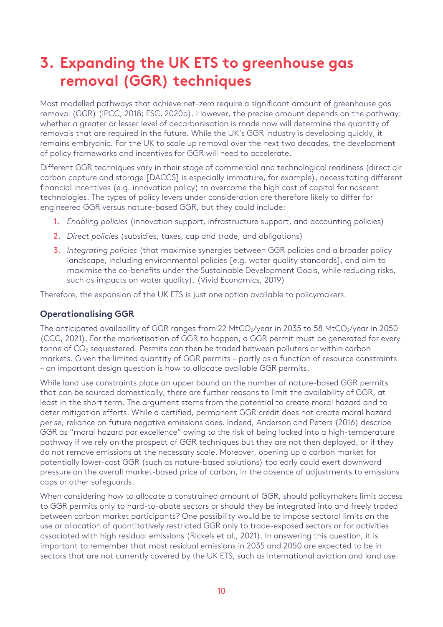# <span id="page-12-0"></span>**3. Expanding the UK ETS to greenhouse gas removal (GGR) techniques**

Most modelled pathways that achieve net-zero require a significant amount of greenhouse gas removal (GGR) (IPCC, 2018; ESC, 2020b). However, the precise amount depends on the pathway: whether a greater or lesser level of decarbonisation is made now will determine the quantity of removals that are required in the future. While the UK's GGR industry is developing quickly, it remains embryonic. For the UK to scale up removal over the next two decades, the development of policy frameworks and incentives for GGR will need to accelerate.

Different GGR techniques vary in their stage of commercial and technological readiness (direct air carbon capture and storage [DACCS] is especially immature, for example), necessitating different financial incentives (e.g. innovation policy) to overcome the high cost of capital for nascent technologies. The types of policy levers under consideration are therefore likely to differ for engineered GGR versus nature-based GGR, but they could include:

- 1. *Enabling policies* (innovation support, infrastructure support, and accounting policies)
- 2. *Direct policies* (subsidies, taxes, cap and trade, and obligations)
- 3. *Integrating policies* (that maximise synergies between GGR policies and a broader policy landscape, including environmental policies [e.g. water quality standards], and aim to maximise the co-benefits under the Sustainable Development Goals, while reducing risks, such as impacts on water quality). (Vivid Economics, 2019)

Therefore, the expansion of the UK ETS is just one option available to policymakers.

### **Operationalising GGR**

The anticipated availability of GGR ranges from 22 MtCO<sub>2</sub>/year in 2035 to 58 MtCO<sub>2</sub>/year in 2050 (CCC, 2021). For the marketisation of GGR to happen, a GGR permit must be generated for every tonne of CO<sub>2</sub> sequestered. Permits can then be traded between polluters or within carbon markets. Given the limited quantity of GGR permits – partly as a function of resource constraints – an important design question is how to allocate available GGR permits.

While land use constraints place an upper bound on the number of nature-based GGR permits that can be sourced domestically, there are further reasons to limit the availability of GGR, at least in the short term. The argument stems from the potential to create moral hazard and to deter mitigation efforts. While a certified, permanent GGR credit does not create moral hazard *per se*, reliance on future negative emissions does. Indeed, Anderson and Peters (2016) describe GGR as "moral hazard par excellence" owing to the risk of being locked into a high-temperature pathway if we rely on the prospect of GGR techniques but they are not then deployed, or if they do not remove emissions at the necessary scale. Moreover, opening up a carbon market for potentially lower-cost GGR (such as nature-based solutions) too early could exert downward pressure on the overall market-based price of carbon, in the absence of adjustments to emissions caps or other safeguards.

When considering how to allocate a constrained amount of GGR, should policymakers limit access to GGR permits only to hard-to-abate sectors or should they be integrated into and freely traded between carbon market participants? One possibility would be to impose sectoral limits on the use or allocation of quantitatively restricted GGR only to trade-exposed sectors or for activities associated with high residual emissions (Rickels et al., 2021). In answering this question, it is important to remember that most residual emissions in 2035 and 2050 are expected to be in sectors that are not currently covered by the UK ETS, such as international aviation and land use.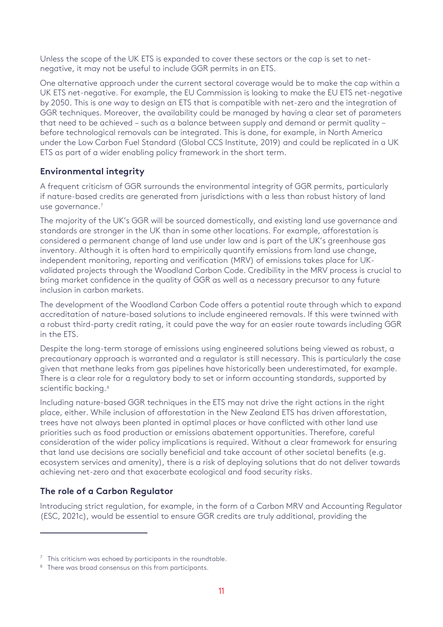Unless the scope of the UK ETS is expanded to cover these sectors or the cap is set to netnegative, it may not be useful to include GGR permits in an ETS.

One alternative approach under the current sectoral coverage would be to make the cap within a UK ETS net-negative. For example, the EU Commission is looking to make the EU ETS net-negative by 2050. This is one way to design an ETS that is compatible with net-zero and the integration of GGR techniques. Moreover, the availability could be managed by having a clear set of parameters that need to be achieved – such as a balance between supply and demand or permit quality – before technological removals can be integrated. This is done, for example, in North America under the Low Carbon Fuel Standard (Global CCS Institute, 2019) and could be replicated in a UK ETS as part of a wider enabling policy framework in the short term.

# **Environmental integrity**

A frequent criticism of GGR surrounds the environmental integrity of GGR permits, particularly if nature-based credits are generated from jurisdictions with a less than robust history of land use governance.<sup>7</sup>

The majority of the UK's GGR will be sourced domestically, and existing land use governance and standards are stronger in the UK than in some other locations. For example, afforestation is considered a permanent change of land use under law and is part of the UK's greenhouse gas inventory. Although it is often hard to empirically quantify emissions from land use change, independent monitoring, reporting and verification (MRV) of emissions takes place for UKvalidated projects through the Woodland Carbon Code. Credibility in the MRV process is crucial to bring market confidence in the quality of GGR as well as a necessary precursor to any future inclusion in carbon markets.

The development of the Woodland Carbon Code offers a potential route through which to expand accreditation of nature-based solutions to include engineered removals. If this were twinned with a robust third-party credit rating, it could pave the way for an easier route towards including GGR in the ETS.

Despite the long-term storage of emissions using engineered solutions being viewed as robust, a precautionary approach is warranted and a regulator is still necessary. This is particularly the case given that methane leaks from gas pipelines have historically been underestimated, for example. There is a clear role for a regulatory body to set or inform accounting standards, supported by scientific backing.<sup>[8](#page-13-1)</sup>

Including nature-based GGR techniques in the ETS may not drive the right actions in the right place, either. While inclusion of afforestation in the New Zealand ETS has driven afforestation, trees have not always been planted in optimal places or have conflicted with other land use priorities such as food production or emissions abatement opportunities. Therefore, careful consideration of the wider policy implications is required. Without a clear framework for ensuring that land use decisions are socially beneficial and take account of other societal benefits (e.g. ecosystem services and amenity), there is a risk of deploying solutions that do not deliver towards achieving net-zero and that exacerbate ecological and food security risks.

# **The role of a Carbon Regulator**

Introducing strict regulation, for example, in the form of a Carbon MRV and Accounting Regulator (ESC, 2021c), would be essential to ensure GGR credits are truly additional, providing the

<span id="page-13-0"></span><sup>&</sup>lt;sup>7</sup> This criticism was echoed by participants in the roundtable.<br><sup>8</sup> There was broad consensus on this from participants.

<span id="page-13-1"></span>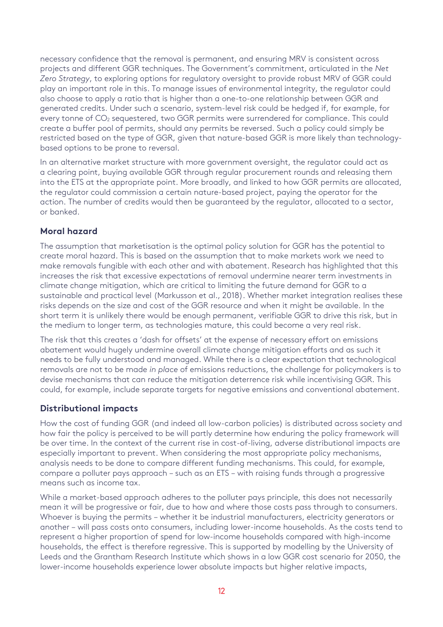necessary confidence that the removal is permanent, and ensuring MRV is consistent across projects and different GGR techniques. The Government's commitment, articulated in the *Net Zero Strategy*, to exploring options for regulatory oversight to provide robust MRV of GGR could play an important role in this. To manage issues of environmental integrity, the regulator could also choose to apply a ratio that is higher than a one-to-one relationship between GGR and generated credits. Under such a scenario, system-level risk could be hedged if, for example, for every tonne of CO<sub>2</sub> sequestered, two GGR permits were surrendered for compliance. This could create a buffer pool of permits, should any permits be reversed. Such a policy could simply be restricted based on the type of GGR, given that nature-based GGR is more likely than technologybased options to be prone to reversal.

In an alternative market structure with more government oversight, the regulator could act as a clearing point, buying available GGR through regular procurement rounds and releasing them into the ETS at the appropriate point. More broadly, and linked to how GGR permits are allocated, the regulator could commission a certain nature-based project, paying the operator for the action. The number of credits would then be guaranteed by the regulator, allocated to a sector, or banked.

### **Moral hazard**

The assumption that marketisation is the optimal policy solution for GGR has the potential to create moral hazard. This is based on the assumption that to make markets work we need to make removals fungible with each other and with abatement. Research has highlighted that this increases the risk that excessive expectations of removal undermine nearer term investments in climate change mitigation, which are critical to limiting the future demand for GGR to a sustainable and practical level (Markusson et al., 2018). Whether market integration realises these risks depends on the size and cost of the GGR resource and when it might be available. In the short term it is unlikely there would be enough permanent, verifiable GGR to drive this risk, but in the medium to longer term, as technologies mature, this could become a very real risk.

The risk that this creates a 'dash for offsets' at the expense of necessary effort on emissions abatement would hugely undermine overall climate change mitigation efforts and as such it needs to be fully understood and managed. While there is a clear expectation that technological removals are not to be made *in place* of emissions reductions, the challenge for policymakers is to devise mechanisms that can reduce the mitigation deterrence risk while incentivising GGR. This could, for example, include separate targets for negative emissions and conventional abatement.

# **Distributional impacts**

How the cost of funding GGR (and indeed all low-carbon policies) is distributed across society and how fair the policy is perceived to be will partly determine how enduring the policy framework will be over time. In the context of the current rise in cost-of-living, adverse distributional impacts are especially important to prevent. When considering the most appropriate policy mechanisms, analysis needs to be done to compare different funding mechanisms. This could, for example, compare a polluter pays approach – such as an ETS – with raising funds through a progressive means such as income tax.

While a market-based approach adheres to the polluter pays principle, this does not necessarily mean it will be progressive or fair, due to how and where those costs pass through to consumers. Whoever is buying the permits – whether it be industrial manufacturers, electricity generators or another – will pass costs onto consumers, including lower-income households. As the costs tend to represent a higher proportion of spend for low-income households compared with high-income households, the effect is therefore regressive. This is supported by modelling by the University of Leeds and the Grantham Research Institute which shows in a low GGR cost scenario for 2050, the lower-income households experience lower absolute impacts but higher relative impacts,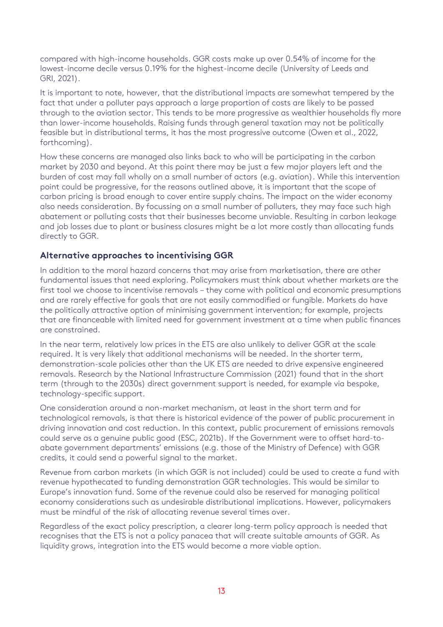compared with high-income households. GGR costs make up over 0.54% of income for the lowest-income decile versus 0.19% for the highest-income decile (University of Leeds and GRI, 2021).

It is important to note, however, that the distributional impacts are somewhat tempered by the fact that under a polluter pays approach a large proportion of costs are likely to be passed through to the aviation sector. This tends to be more progressive as wealthier households fly more than lower-income households. Raising funds through general taxation may not be politically feasible but in distributional terms, it has the most progressive outcome (Owen et al., 2022, forthcoming).

How these concerns are managed also links back to who will be participating in the carbon market by 2030 and beyond. At this point there may be just a few major players left and the burden of cost may fall wholly on a small number of actors (e.g. aviation). While this intervention point could be progressive, for the reasons outlined above, it is important that the scope of carbon pricing is broad enough to cover entire supply chains. The impact on the wider economy also needs consideration. By focussing on a small number of polluters, they may face such high abatement or polluting costs that their businesses become unviable. Resulting in carbon leakage and job losses due to plant or business closures might be a lot more costly than allocating funds directly to GGR.

### **Alternative approaches to incentivising GGR**

In addition to the moral hazard concerns that may arise from marketisation, there are other fundamental issues that need exploring. Policymakers must think about whether markets are the first tool we choose to incentivise removals – they come with political and economic presumptions and are rarely effective for goals that are not easily commodified or fungible. Markets do have the politically attractive option of minimising government intervention; for example, projects that are financeable with limited need for government investment at a time when public finances are constrained.

In the near term, relatively low prices in the ETS are also unlikely to deliver GGR at the scale required. It is very likely that additional mechanisms will be needed. In the shorter term, demonstration-scale policies other than the UK ETS are needed to drive expensive engineered removals. Research by the National Infrastructure Commission (2021) found that in the short term (through to the 2030s) direct government support is needed, for example via bespoke, technology-specific support.

One consideration around a non-market mechanism, at least in the short term and for technological removals, is that there is historical evidence of the power of public procurement in driving innovation and cost reduction. In this context, public procurement of emissions removals could serve as a genuine public good (ESC, 2021b). If the Government were to offset hard-toabate government departments' emissions (e.g. those of the Ministry of Defence) with GGR credits, it could send a powerful signal to the market.

Revenue from carbon markets (in which GGR is not included) could be used to create a fund with revenue hypothecated to funding demonstration GGR technologies. This would be similar to Europe's innovation fund. Some of the revenue could also be reserved for managing political economy considerations such as undesirable distributional implications. However, policymakers must be mindful of the risk of allocating revenue several times over.

Regardless of the exact policy prescription, a clearer long-term policy approach is needed that recognises that the ETS is not a policy panacea that will create suitable amounts of GGR. As liquidity grows, integration into the ETS would become a more viable option.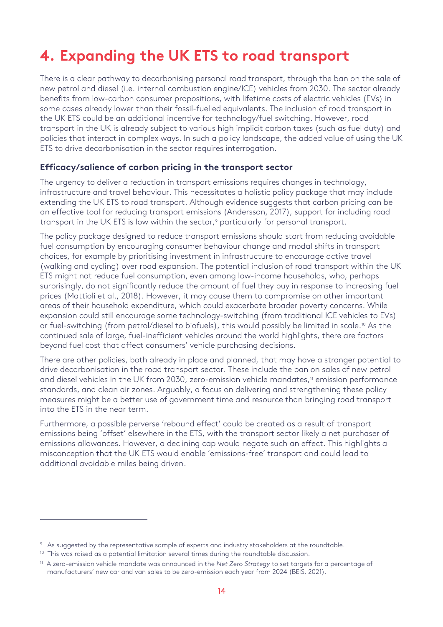# <span id="page-16-0"></span>**4. Expanding the UK ETS to road transport**

There is a clear pathway to decarbonising personal road transport, through the ban on the sale of new petrol and diesel (i.e. internal combustion engine/ICE) vehicles from 2030. The sector already benefits from low-carbon consumer propositions, with lifetime costs of electric vehicles (EVs) in some cases already lower than their fossil-fuelled equivalents. The inclusion of road transport in the UK ETS could be an additional incentive for technology/fuel switching. However, road transport in the UK is already subject to various high implicit carbon taxes (such as fuel duty) and policies that interact in complex ways. In such a policy landscape, the added value of using the UK ETS to drive decarbonisation in the sector requires interrogation.

#### **Efficacy/salience of carbon pricing in the transport sector**

The urgency to deliver a reduction in transport emissions requires changes in technology, infrastructure and travel behaviour. This necessitates a holistic policy package that may include extending the UK ETS to road transport. Although evidence suggests that carbon pricing can be an effective tool for reducing transport emissions (Andersson, 2017), support for including road transport in the UK ETS is low within the sector,<sup>[9](#page-16-1)</sup> particularly for personal transport.

The policy package designed to reduce transport emissions should start from reducing avoidable fuel consumption by encouraging consumer behaviour change and modal shifts in transport choices, for example by prioritising investment in infrastructure to encourage active travel (walking and cycling) over road expansion. The potential inclusion of road transport within the UK ETS might not reduce fuel consumption, even among low-income households, who, perhaps surprisingly, do not significantly reduce the amount of fuel they buy in response to increasing fuel prices (Mattioli et al., 2018). However, it may cause them to compromise on other important areas of their household expenditure, which could exacerbate broader poverty concerns. While expansion could still encourage some technology-switching (from traditional ICE vehicles to EVs) or fuel-switching (from petrol/diesel to biofuels), this would possibly be limited in scale.<sup>[10](#page-16-2)</sup> As the continued sale of large, fuel-inefficient vehicles around the world highlights, there are factors beyond fuel cost that affect consumers' vehicle purchasing decisions.

There are other policies, both already in place and planned, that may have a stronger potential to drive decarbonisation in the road transport sector. These include the ban on sales of new petrol and diesel vehicles in the UK from 2030, zero-emission vehicle mandates,<sup>[11](#page-16-3)</sup> emission performance standards, and clean air zones. Arguably, a focus on delivering and strengthening these policy measures might be a better use of government time and resource than bringing road transport into the ETS in the near term.

Furthermore, a possible perverse 'rebound effect' could be created as a result of transport emissions being 'offset' elsewhere in the ETS, with the transport sector likely a net purchaser of emissions allowances. However, a declining cap would negate such an effect. This highlights a misconception that the UK ETS would enable 'emissions-free' transport and could lead to additional avoidable miles being driven.

<span id="page-16-1"></span> $9$  As suggested by the representative sample of experts and industry stakeholders at the roundtable.<br><sup>10</sup> This was raised as a potential limitation several times during the roundtable discussion.

<span id="page-16-2"></span>

<span id="page-16-3"></span><sup>11</sup> A zero-emission vehicle mandate was announced in the *Net Zero Strategy* to set targets for a percentage of manufacturers' new car and van sales to be zero-emission each year from 2024 (BEIS, 2021).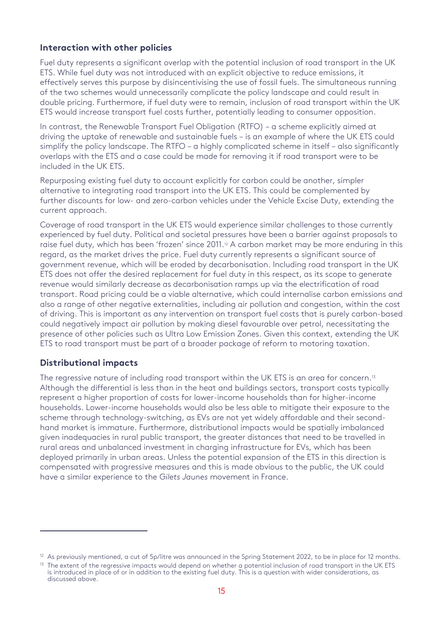### **Interaction with other policies**

Fuel duty represents a significant overlap with the potential inclusion of road transport in the UK ETS. While fuel duty was not introduced with an explicit objective to reduce emissions, it effectively serves this purpose by disincentivising the use of fossil fuels. The simultaneous running of the two schemes would unnecessarily complicate the policy landscape and could result in double pricing. Furthermore, if fuel duty were to remain, inclusion of road transport within the UK ETS would increase transport fuel costs further, potentially leading to consumer opposition.

In contrast, the Renewable Transport Fuel Obligation (RTFO) – a scheme explicitly aimed at driving the uptake of renewable and sustainable fuels – is an example of where the UK ETS could simplify the policy landscape. The RTFO – a highly complicated scheme in itself – also significantly overlaps with the ETS and a case could be made for removing it if road transport were to be included in the UK ETS.

Repurposing existing fuel duty to account explicitly for carbon could be another, simpler alternative to integrating road transport into the UK ETS. This could be complemented by further discounts for low- and zero-carbon vehicles under the Vehicle Excise Duty, extending the current approach.

Coverage of road transport in the UK ETS would experience similar challenges to those currently experienced by fuel duty. Political and societal pressures have been a barrier against proposals to raise fuel duty, which has been 'frozen' since 2011.<sup>2</sup> A carbon market may be more enduring in this regard, as the market drives the price. Fuel duty currently represents a significant source of government revenue, which will be eroded by decarbonisation. Including road transport in the UK ETS does not offer the desired replacement for fuel duty in this respect, as its scope to generate revenue would similarly decrease as decarbonisation ramps up via the electrification of road transport. Road pricing could be a viable alternative, which could internalise carbon emissions and also a range of other negative externalities, including air pollution and congestion, within the cost of driving. This is important as any intervention on transport fuel costs that is purely carbon-based could negatively impact air pollution by making diesel favourable over petrol, necessitating the presence of other policies such as Ultra Low Emission Zones. Given this context, extending the UK ETS to road transport must be part of a broader package of reform to motoring taxation.

### **Distributional impacts**

The regressive nature of including road transport within the UK ETS is an area for concern.<sup>[13](#page-17-1)</sup> Although the differential is less than in the heat and buildings sectors, transport costs typically represent a higher proportion of costs for lower-income households than for higher-income households. Lower-income households would also be less able to mitigate their exposure to the scheme through technology-switching, as EVs are not yet widely affordable and their secondhand market is immature. Furthermore, distributional impacts would be spatially imbalanced given inadequacies in rural public transport, the greater distances that need to be travelled in rural areas and unbalanced investment in charging infrastructure for EVs, which has been deployed primarily in urban areas. Unless the potential expansion of the ETS in this direction is compensated with progressive measures and this is made obvious to the public, the UK could have a similar experience to the *Gilets Jaunes* movement in France.

<span id="page-17-0"></span> $12$  As previously mentioned, a cut of 5p/litre was announced in the Spring Statement 2022, to be in place for 12 months.

<span id="page-17-1"></span> $13$  The extent of the regressive impacts would depend on whether a potential inclusion of road transport in the UK ETS is introduced in place of or in addition to the existing fuel duty. This is a question with wider considerations, as discussed above.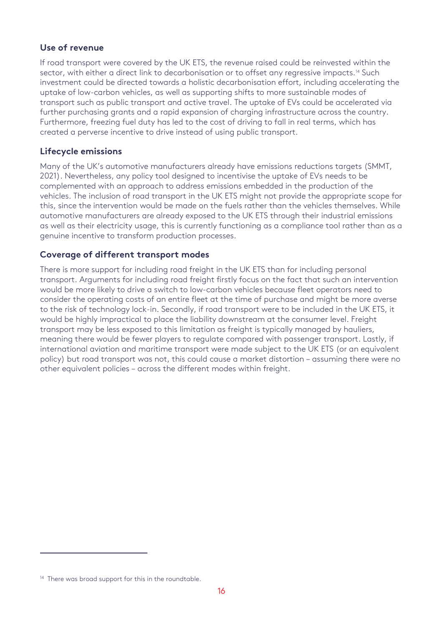### **Use of revenue**

If road transport were covered by the UK ETS, the revenue raised could be reinvested within the sector, with either a direct link to decarbonisation or to offset any rearessive impacts.<sup>[14](#page-18-0)</sup> Such investment could be directed towards a holistic decarbonisation effort, including accelerating the uptake of low-carbon vehicles, as well as supporting shifts to more sustainable modes of transport such as public transport and active travel. The uptake of EVs could be accelerated via further purchasing grants and a rapid expansion of charging infrastructure across the country. Furthermore, freezing fuel duty has led to the cost of driving to fall in real terms, which has created a perverse incentive to drive instead of using public transport.

### **Lifecycle emissions**

Many of the UK's automotive manufacturers already have emissions reductions targets (SMMT, 2021). Nevertheless, any policy tool designed to incentivise the uptake of EVs needs to be complemented with an approach to address emissions embedded in the production of the vehicles. The inclusion of road transport in the UK ETS might not provide the appropriate scope for this, since the intervention would be made on the fuels rather than the vehicles themselves. While automotive manufacturers are already exposed to the UK ETS through their industrial emissions as well as their electricity usage, this is currently functioning as a compliance tool rather than as a genuine incentive to transform production processes.

### **Coverage of different transport modes**

There is more support for including road freight in the UK ETS than for including personal transport. Arguments for including road freight firstly focus on the fact that such an intervention would be more likely to drive a switch to low-carbon vehicles because fleet operators need to consider the operating costs of an entire fleet at the time of purchase and might be more averse to the risk of technology lock-in. Secondly, if road transport were to be included in the UK ETS, it would be highly impractical to place the liability downstream at the consumer level. Freight transport may be less exposed to this limitation as freight is typically managed by hauliers, meaning there would be fewer players to regulate compared with passenger transport. Lastly, if international aviation and maritime transport were made subject to the UK ETS (or an equivalent policy) but road transport was not, this could cause a market distortion – assuming there were no other equivalent policies – across the different modes within freight.

<span id="page-18-0"></span><sup>&</sup>lt;sup>14</sup> There was broad support for this in the roundtable.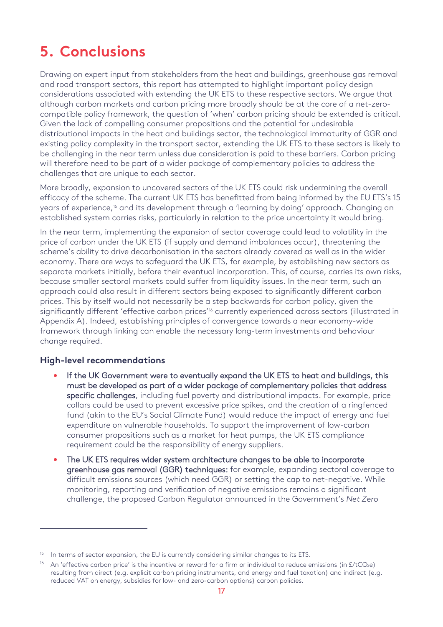# <span id="page-19-0"></span>**5. Conclusions**

Drawing on expert input from stakeholders from the heat and buildings, greenhouse gas removal and road transport sectors, this report has attempted to highlight important policy design considerations associated with extending the UK ETS to these respective sectors. We argue that although carbon markets and carbon pricing more broadly should be at the core of a net-zerocompatible policy framework, the question of 'when' carbon pricing should be extended is critical. Given the lack of compelling consumer propositions and the potential for undesirable distributional impacts in the heat and buildings sector, the technological immaturity of GGR and existing policy complexity in the transport sector, extending the UK ETS to these sectors is likely to be challenging in the near term unless due consideration is paid to these barriers. Carbon pricing will therefore need to be part of a wider package of complementary policies to address the challenges that are unique to each sector.

More broadly, expansion to uncovered sectors of the UK ETS could risk undermining the overall efficacy of the scheme. The current UK ETS has benefitted from being informed by the EU ETS's 15 years of experience,<sup>15</sup> and its development through a 'learning by doing' approach. Changing an established system carries risks, particularly in relation to the price uncertainty it would bring.

In the near term, implementing the expansion of sector coverage could lead to volatility in the price of carbon under the UK ETS (if supply and demand imbalances occur), threatening the scheme's ability to drive decarbonisation in the sectors already covered as well as in the wider economy. There are ways to safeguard the UK ETS, for example, by establishing new sectors as separate markets initially, before their eventual incorporation. This, of course, carries its own risks, because smaller sectoral markets could suffer from liquidity issues. In the near term, such an approach could also result in different sectors being exposed to significantly different carbon prices. This by itself would not necessarily be a step backwards for carbon policy, given the significantly different 'effective carbon prices'<sup>[16](#page-19-2)</sup> currently experienced across sectors (illustrated in [Appendix A\)](#page-23-1). Indeed, establishing principles of convergence towards a near economy-wide framework through linking can enable the necessary long-term investments and behaviour change required.

### **High-level recommendations**

- If the UK Government were to eventually expand the UK ETS to heat and buildings, this must be developed as part of a wider package of complementary policies that address specific challenges, including fuel poverty and distributional impacts. For example, price collars could be used to prevent excessive price spikes, and the creation of a ringfenced fund (akin to the EU's Social Climate Fund) would reduce the impact of energy and fuel expenditure on vulnerable households. To support the improvement of low-carbon consumer propositions such as a market for heat pumps, the UK ETS compliance requirement could be the responsibility of energy suppliers.
- The UK ETS requires wider system architecture changes to be able to incorporate greenhouse gas removal (GGR) techniques: for example, expanding sectoral coverage to difficult emissions sources (which need GGR) or setting the cap to net-negative. While monitoring, reporting and verification of negative emissions remains a significant challenge, the proposed Carbon Regulator announced in the Government's *Net Zero*

<span id="page-19-1"></span> $15$  In terms of sector expansion, the EU is currently considering similar changes to its ETS.

<span id="page-19-2"></span><sup>&</sup>lt;sup>16</sup> An 'effective carbon price' is the incentive or reward for a firm or individual to reduce emissions (in  $E/tCO<sub>2</sub>e$ ) resulting from direct (e.g. explicit carbon pricing instruments, and energy and fuel taxation) and indirect (e.g. reduced VAT on energy, subsidies for low- and zero-carbon options) carbon policies.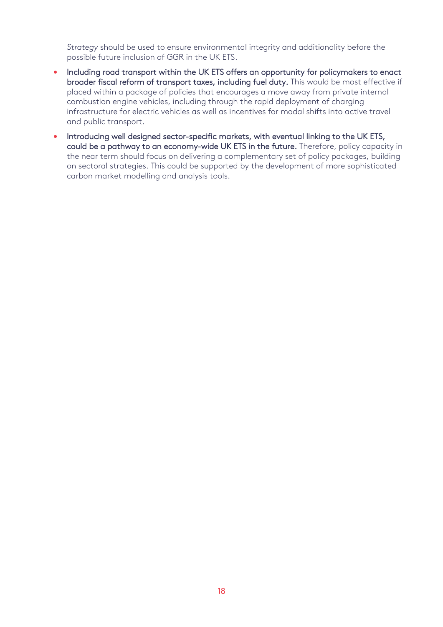*Strategy* should be used to ensure environmental integrity and additionality before the possible future inclusion of GGR in the UK ETS.

- Including road transport within the UK ETS offers an opportunity for policymakers to enact broader fiscal reform of transport taxes, including fuel duty. This would be most effective if placed within a package of policies that encourages a move away from private internal combustion engine vehicles, including through the rapid deployment of charging infrastructure for electric vehicles as well as incentives for modal shifts into active travel and public transport.
- Introducing well designed sector-specific markets, with eventual linking to the UK ETS, could be a pathway to an economy-wide UK ETS in the future. Therefore, policy capacity in the near term should focus on delivering a complementary set of policy packages, building on sectoral strategies. This could be supported by the development of more sophisticated carbon market modelling and analysis tools.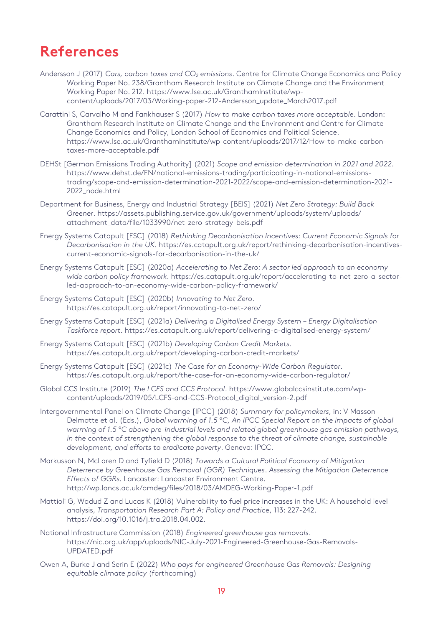# <span id="page-21-0"></span>**References**

- Andersson J (2017) *Cars, carbon taxes and CO2 emissions*. Centre for Climate Change Economics and Policy Working Paper No. 238/Grantham Research Institute on Climate Change and the Environment Working Paper No. 212. [https://www.lse.ac.uk/GranthamInstitute/wp](https://www.lse.ac.uk/GranthamInstitute/wp-content/uploads/2017/03/Working-paper-212-Andersson_update_March2017.pdf)[content/uploads/2017/03/Working-paper-212-Andersson\\_update\\_March2017.pdf](https://www.lse.ac.uk/GranthamInstitute/wp-content/uploads/2017/03/Working-paper-212-Andersson_update_March2017.pdf)
- Carattini S, Carvalho M and Fankhauser S (2017) *How to make carbon taxes more acceptable*. London: Grantham Research Institute on Climate Change and the Environment and Centre for Climate Change Economics and Policy, London School of Economics and Political Science. [https://www.lse.ac.uk/GranthamInstitute/wp-content/uploads/2017/12/How-to-make-carbon](https://www.lse.ac.uk/GranthamInstitute/wp-content/uploads/2017/12/How-to-make-carbon-taxes-more-acceptable.pdf)[taxes-more-acceptable.pdf](https://www.lse.ac.uk/GranthamInstitute/wp-content/uploads/2017/12/How-to-make-carbon-taxes-more-acceptable.pdf)
- DEHSt [German Emissions Trading Authority] (2021) *Scope and emission determination in 2021 and 2022*. [https://www.dehst.de/EN/national-emissions-trading/participating-in-national-emissions](https://www.dehst.de/EN/national-emissions-trading/participating-in-national-emissions-trading/scope-and-emission-determination-2021-2022/scope-and-emission-determination-2021-2022_node.html)[trading/scope-and-emission-determination-2021-2022/scope-and-emission-determination-2021-](https://www.dehst.de/EN/national-emissions-trading/participating-in-national-emissions-trading/scope-and-emission-determination-2021-2022/scope-and-emission-determination-2021-2022_node.html) [2022\\_node.html](https://www.dehst.de/EN/national-emissions-trading/participating-in-national-emissions-trading/scope-and-emission-determination-2021-2022/scope-and-emission-determination-2021-2022_node.html)
- Department for Business, Energy and Industrial Strategy [BEIS] (2021) *Net Zero Strategy: Build Back Greener*. [https://assets.publishing.service.gov.uk/government/uploads/system/uploads/](https://assets.publishing.service.gov.uk/government/uploads/system/uploads/attachment_data/file/1033990/net-zero-strategy-beis.pdf) [attachment\\_data/file/1033990/net-zero-strategy-beis.pdf](https://assets.publishing.service.gov.uk/government/uploads/system/uploads/attachment_data/file/1033990/net-zero-strategy-beis.pdf)
- Energy Systems Catapult [ESC] (2018) *Rethinking Decarbonisation Incentives: Current Economic Signals for Decarbonisation in the UK*. [https://es.catapult.org.uk/report/rethinking-decarbonisation-incentives](https://es.catapult.org.uk/report/rethinking-decarbonisation-incentives-current-economic-signals-for-decarbonisation-in-the-uk/)[current-economic-signals-for-decarbonisation-in-the-uk/](https://es.catapult.org.uk/report/rethinking-decarbonisation-incentives-current-economic-signals-for-decarbonisation-in-the-uk/)
- Energy Systems Catapult [ESC] (2020a) *Accelerating to Net Zero: A sector led approach to an economy wide carbon policy framework*. [https://es.catapult.org.uk/report/accelerating-to-net-zero-a-sector](https://es.catapult.org.uk/report/accelerating-to-net-zero-a-sector-led-approach-to-an-economy-wide-carbon-policy-framework/)[led-approach-to-an-economy-wide-carbon-policy-framework/](https://es.catapult.org.uk/report/accelerating-to-net-zero-a-sector-led-approach-to-an-economy-wide-carbon-policy-framework/)
- Energy Systems Catapult [ESC] (2020b) *Innovating to Net Zero*. <https://es.catapult.org.uk/report/innovating-to-net-zero/>
- Energy Systems Catapult [ESC] (2021a) *Delivering a Digitalised Energy System – Energy Digitalisation Taskforce report*[. https://es.catapult.org.uk/report/delivering-a-digitalised-energy-system/](https://es.catapult.org.uk/report/delivering-a-digitalised-energy-system/)
- Energy Systems Catapult [ESC] (2021b) *Developing Carbon Credit Markets*. <https://es.catapult.org.uk/report/developing-carbon-credit-markets/>
- Energy Systems Catapult [ESC] (2021c) *The Case for an Economy-Wide Carbon Regulator*. <https://es.catapult.org.uk/report/the-case-for-an-economy-wide-carbon-regulator/>
- Global CCS Institute (2019) *The LCFS and CCS Protocol*. https://www.globalccsinstitute.com/wpcontent/uploads/2019/05/LCFS-and-CCS-Protocol\_digital\_version-2.pdf
- Intergovernmental Panel on Climate Change [IPCC] (2018) *Summary for policymakers*, in: V Masson-Delmotte et al. (Eds.), *Global warming of 1.5 °C, An IPCC Special Report on the impacts of global warming of 1.5 °C above pre-industrial levels and related global greenhouse gas emission pathways, in the context of strengthening the global response to the threat of climate change, sustainable development, and efforts to eradicate poverty*. Geneva: IPCC.
- Markusson N, McLaren D and Tyfield D (2018) *Towards a Cultural Political Economy of Mitigation Deterrence by Greenhouse Gas Removal (GGR) Techniques*. *Assessing the Mitigation Deterrence Effects of GGRs.* Lancaster: Lancaster Environment Centre. <http://wp.lancs.ac.uk/amdeg/files/2018/03/AMDEG-Working-Paper-1.pdf>
- Mattioli G, Wadud Z and Lucas K (2018) Vulnerability to fuel price increases in the UK: A household level analysis, *Transportation Research Part A: Policy and Practice*, 113: 227-242. [https://doi.org/10.1016/j.tra.2018.04.002.](https://doi.org/10.1016/j.tra.2018.04.002)
- National Infrastructure Commission (2018) *Engineered greenhouse gas removals*. [https://nic.org.uk/app/uploads/NIC-July-2021-Engineered-Greenhouse-Gas-Removals-](https://nic.org.uk/app/uploads/NIC-July-2021-Engineered-Greenhouse-Gas-Removals-UPDATED.pdf)[UPDATED.pdf](https://nic.org.uk/app/uploads/NIC-July-2021-Engineered-Greenhouse-Gas-Removals-UPDATED.pdf)
- Owen A, Burke J and Serin E (2022) *Who pays for engineered Greenhouse Gas Removals: Designing equitable climate policy* (forthcoming)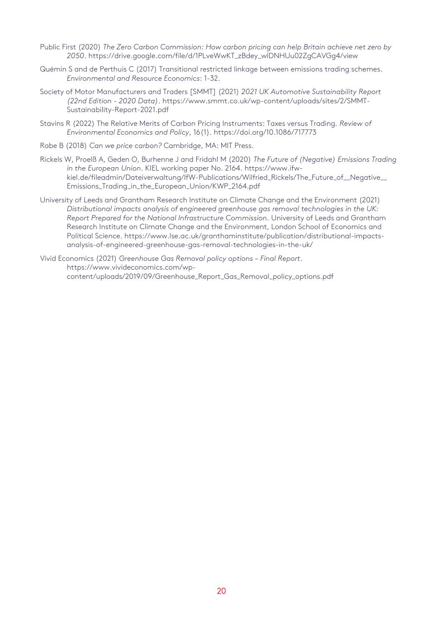- Public First (2020) *The Zero Carbon Commission: How carbon pricing can help Britain achieve net zero by 2050*. [https://drive.google.com/file/d/1PLveWwKT\\_zBdey\\_wlDNHUu02ZgCAVGg4/view](https://drive.google.com/file/d/1PLveWwKT_zBdey_wlDNHUu02ZgCAVGg4/view)
- Quémin S and de Perthuis C (2017) Transitional restricted linkage between emissions trading schemes. *Environmental and Resource Economics*: 1-32.
- Society of Motor Manufacturers and Traders [SMMT] (2021) *2021 UK Automotive Sustainability Report (22nd Edition - 2020 Data)*. [https://www.smmt.co.uk/wp-content/uploads/sites/2/SMMT-](https://www.smmt.co.uk/wp-content/uploads/sites/2/SMMT-Sustainability-Report-2021.pdf)[Sustainability-Report-2021.pdf](https://www.smmt.co.uk/wp-content/uploads/sites/2/SMMT-Sustainability-Report-2021.pdf)
- Stavins R (2022) The Relative Merits of Carbon Pricing Instruments: Taxes versus Trading*. Review of Environmental Economics and Policy*, 16(1).<https://doi.org/10.1086/717773>
- Rabe B (2018) *Can we price carbon?* Cambridge, MA: MIT Press.
- Rickels W, Proelß A, Geden O, Burhenne J and Fridahl M (2020) *The Future of (Negative) Emissions Trading in the European Union*. KIEL working paper No. 2164[. https://www.ifw](https://www.ifw-kiel.de/fileadmin/Dateiverwaltung/IfW-Publications/Wilfried_Rickels/The_Future_of__Negative__Emissions_Trading_in_the_European_Union/KWP_2164.pdf)[kiel.de/fileadmin/Dateiverwaltung/IfW-Publications/Wilfried\\_Rickels/The\\_Future\\_of\\_\\_Negative\\_\\_](https://www.ifw-kiel.de/fileadmin/Dateiverwaltung/IfW-Publications/Wilfried_Rickels/The_Future_of__Negative__Emissions_Trading_in_the_European_Union/KWP_2164.pdf) [Emissions\\_Trading\\_in\\_the\\_European\\_Union/KWP\\_2164.pdf](https://www.ifw-kiel.de/fileadmin/Dateiverwaltung/IfW-Publications/Wilfried_Rickels/The_Future_of__Negative__Emissions_Trading_in_the_European_Union/KWP_2164.pdf)
- University of Leeds and Grantham Research Institute on Climate Change and the Environment (2021) *Distributional impacts analysis of engineered greenhouse gas removal technologies in the UK: Report Prepared for the National Infrastructure Commission*. University of Leeds and Grantham Research Institute on Climate Change and the Environment, London School of Economics and Political Science. [https://www.lse.ac.uk/granthaminstitute/publication/distributional-impacts](https://www.lse.ac.uk/granthaminstitute/publication/distributional-impacts-analysis-of-engineered-greenhouse-gas-removal-technologies-in-the-uk/)[analysis-of-engineered-greenhouse-gas-removal-technologies-in-the-uk/](https://www.lse.ac.uk/granthaminstitute/publication/distributional-impacts-analysis-of-engineered-greenhouse-gas-removal-technologies-in-the-uk/)
- Vivid Economics (2021) *Greenhouse Gas Removal policy options – Final Report*. [https://www.vivideconomics.com/wp](https://www.vivideconomics.com/wp-content/uploads/2019/09/Greenhouse_Report_Gas_Removal_policy_options.pdf)[content/uploads/2019/09/Greenhouse\\_Report\\_Gas\\_Removal\\_policy\\_options.pdf](https://www.vivideconomics.com/wp-content/uploads/2019/09/Greenhouse_Report_Gas_Removal_policy_options.pdf)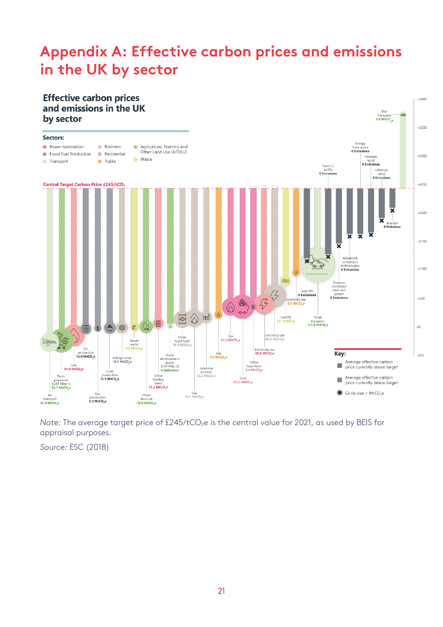# <span id="page-23-0"></span>**Appendix A: Effective carbon prices and emissions in the UK by sector**



<span id="page-23-1"></span>*Note: The average target price of £245/tCO<sub>2</sub>e is the central value for 2021, as used by BEIS for* appraisal purposes.

*Source:* ESC (2018)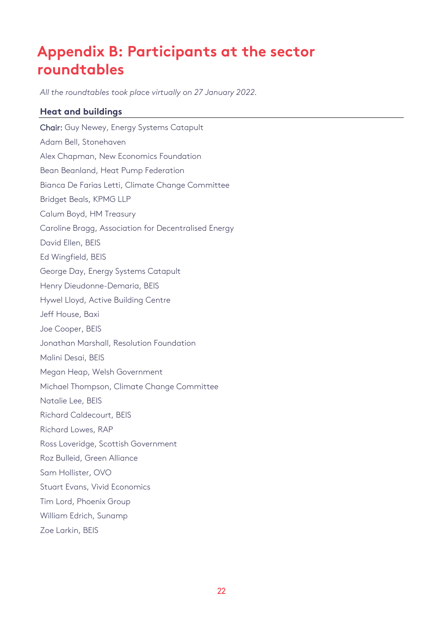# <span id="page-24-0"></span>**Appendix B: Participants at the sector roundtables**

*All the roundtables took place virtually on 27 January 2022.*

### **Heat and buildings**

Chair: Guy Newey, Energy Systems Catapult Adam Bell, Stonehaven Alex Chapman, New Economics Foundation Bean Beanland, Heat Pump Federation Bianca De Farias Letti, Climate Change Committee Bridget Beals, KPMG LLP Calum Boyd, HM Treasury Caroline Bragg, Association for Decentralised Energy David Ellen, BEIS Ed Wingfield, BEIS George Day, Energy Systems Catapult Henry Dieudonne-Demaria, BEIS Hywel Lloyd, Active Building Centre Jeff House, Baxi Joe Cooper, BEIS Jonathan Marshall, Resolution Foundation Malini Desai, BEIS Megan Heap, Welsh Government Michael Thompson, Climate Change Committee Natalie Lee, BEIS Richard Caldecourt, BEIS Richard Lowes, RAP Ross Loveridge, Scottish Government Roz Bulleid, Green Alliance Sam Hollister, OVO Stuart Evans, Vivid Economics Tim Lord, Phoenix Group William Edrich, Sunamp Zoe Larkin, BEIS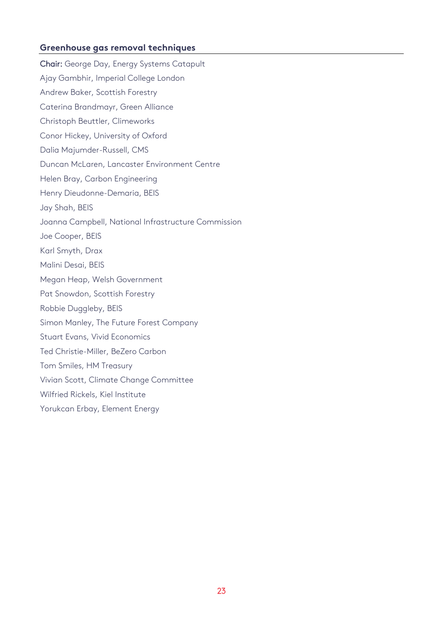### **Greenhouse gas removal techniques**

Chair: George Day, Energy Systems Catapult Ajay Gambhir, Imperial College London Andrew Baker, Scottish Forestry Caterina Brandmayr, Green Alliance Christoph Beuttler, Climeworks Conor Hickey, University of Oxford Dalia Majumder-Russell, CMS Duncan McLaren, Lancaster Environment Centre Helen Bray, Carbon Engineering Henry Dieudonne-Demaria, BEIS Jay Shah, BEIS Joanna Campbell, National Infrastructure Commission Joe Cooper, BEIS Karl Smyth, Drax Malini Desai, BEIS Megan Heap, Welsh Government Pat Snowdon, Scottish Forestry Robbie Duggleby, BEIS Simon Manley, The Future Forest Company Stuart Evans, Vivid Economics Ted Christie-Miller, BeZero Carbon Tom Smiles, HM Treasury Vivian Scott, Climate Change Committee Wilfried Rickels, Kiel Institute Yorukcan Erbay, Element Energy